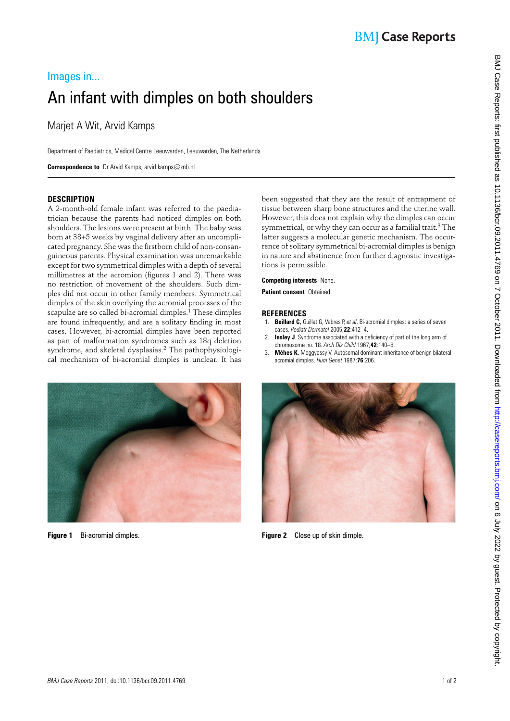# Images in... An infant with dimples on both shoulders

Marjet A Wit, Arvid Kamps

Department of Paediatrics, Medical Centre Leeuwarden, Leeuwarden, The Netherlands

 **Correspondence to** Dr Arvid Kamps, arvid.kamps@znb.nl

### **DESCRIPTION**

A 2-month-old female infant was referred to the paediatrician because the parents had noticed dimples on both shoulders. The lesions were present at birth. The baby was born at 38+5 weeks by vaginal delivery after an uncomplicated pregnancy. She was the firstborn child of non-consanguineous parents. Physical examination was unremarkable except for two symmetrical dimples with a depth of several millimetres at the acromion (figures 1 and 2). There was no restriction of movement of the shoulders. Such dimples did not occur in other family members. Symmetrical dimples of the skin overlying the acromial processes of the scapulae are so called bi-acromial dimples.<sup>1</sup> These dimples are found infrequently, and are a solitary finding in most cases. However, bi-acromial dimples have been reported as part of malformation syndromes such as 18q deletion syndrome, and skeletal dysplasias.<sup>2</sup> The pathophysiological mechanism of bi-acromial dimples is unclear. It has



been suggested that they are the result of entrapment of tissue between sharp bone structures and the uterine wall. However, this does not explain why the dimples can occur symmetrical, or why they can occur as a familial trait.<sup>3</sup> The latter suggests a molecular genetic mechanism. The occurrence of solitary symmetrical bi-acromial dimples is benign in nature and abstinence from further diagnostic investigations is permissible.

#### **Competing interests** None.

**Patient consent** Obtained.

#### **REFERENCES**

- 1. **Beillard C,** Guillet G, Vabres P, *et al* . Bi-acromial dimples: a series of seven cases. *Pediatr Dermatol* 2005 ; **22** : 412 – 4 .
- 2. **Insley J**. Syndrome associated with a deficiency of part of the long arm of chromosome no. 18. *Arch Dis Child* 1967;42:140-6.
- 3. **Méhes K,** Meggyessy V . Autosomal dominant inheritance of benign bilateral acromial dimples. *Hum Genet* 1987 ; **76** : 206 .



 **Figure 1** Bi-acromial dimples. **Figure 2** Close up of skin dimple.